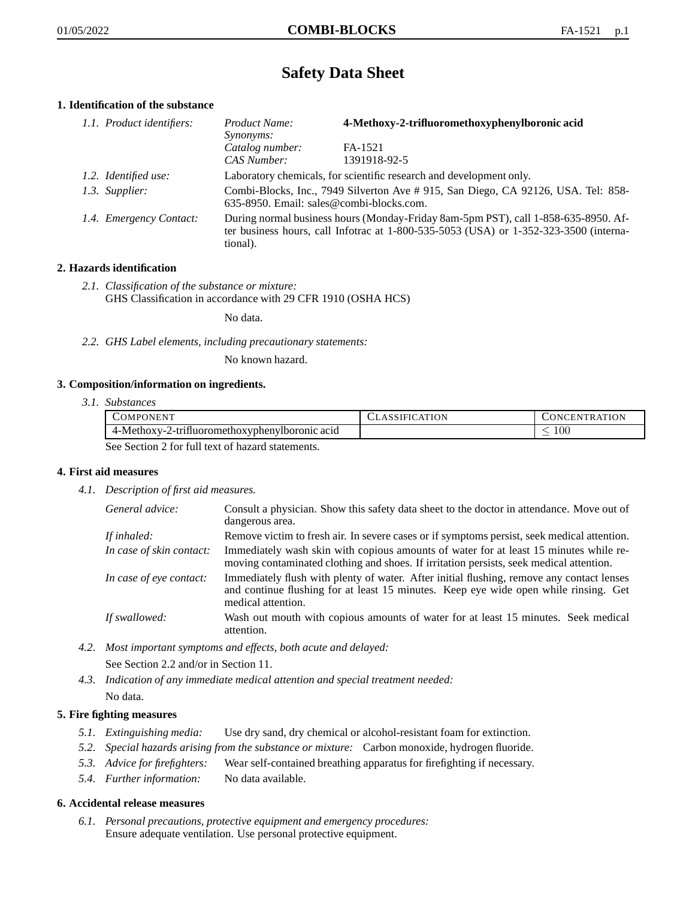# **Safety Data Sheet**

# **1. Identification of the substance**

| 1.1. Product identifiers: | 4-Methoxy-2-trifluoromethoxyphenylboronic acid<br>Product Name:<br><i>Synonyms:</i>                                                                                                         |                         |
|---------------------------|---------------------------------------------------------------------------------------------------------------------------------------------------------------------------------------------|-------------------------|
|                           | Catalog number:<br>CAS Number:                                                                                                                                                              | FA-1521<br>1391918-92-5 |
| 1.2. Identified use:      | Laboratory chemicals, for scientific research and development only.                                                                                                                         |                         |
| 1.3. Supplier:            | Combi-Blocks, Inc., 7949 Silverton Ave # 915, San Diego, CA 92126, USA. Tel: 858-<br>635-8950. Email: sales@combi-blocks.com.                                                               |                         |
| 1.4. Emergency Contact:   | During normal business hours (Monday-Friday 8am-5pm PST), call 1-858-635-8950. Af-<br>ter business hours, call Infotrac at $1-800-535-5053$ (USA) or $1-352-323-3500$ (interna-<br>tional). |                         |

# **2. Hazards identification**

*2.1. Classification of the substance or mixture:* GHS Classification in accordance with 29 CFR 1910 (OSHA HCS)

No data.

*2.2. GHS Label elements, including precautionary statements:*

No known hazard.

#### **3. Composition/information on ingredients.**

*3.1. Substances*

|                                                  | COMPONENT                                      | <b>CLASSIFICATION</b> | CONCENTRATION |
|--------------------------------------------------|------------------------------------------------|-----------------------|---------------|
|                                                  | 4-Methoxy-2-trifluoromethoxyphenylboronic acid |                       | .00           |
| See Section 2 for full text of hazard statements |                                                |                       |               |

See Section 2 for full text of hazard statements.

# **4. First aid measures**

*4.1. Description of first aid measures.*

| General advice:          | Consult a physician. Show this safety data sheet to the doctor in attendance. Move out of<br>dangerous area.                                                                                            |
|--------------------------|---------------------------------------------------------------------------------------------------------------------------------------------------------------------------------------------------------|
| If inhaled:              | Remove victim to fresh air. In severe cases or if symptoms persist, seek medical attention.                                                                                                             |
| In case of skin contact: | Immediately wash skin with copious amounts of water for at least 15 minutes while re-<br>moving contaminated clothing and shoes. If irritation persists, seek medical attention.                        |
| In case of eye contact:  | Immediately flush with plenty of water. After initial flushing, remove any contact lenses<br>and continue flushing for at least 15 minutes. Keep eye wide open while rinsing. Get<br>medical attention. |
| If swallowed:            | Wash out mouth with copious amounts of water for at least 15 minutes. Seek medical<br>attention.                                                                                                        |

*4.2. Most important symptoms and effects, both acute and delayed:*

See Section 2.2 and/or in Section 11.

*4.3. Indication of any immediate medical attention and special treatment needed:* No data.

# **5. Fire fighting measures**

- *5.1. Extinguishing media:* Use dry sand, dry chemical or alcohol-resistant foam for extinction.
- *5.2. Special hazards arising from the substance or mixture:* Carbon monoxide, hydrogen fluoride.
- *5.3. Advice for firefighters:* Wear self-contained breathing apparatus for firefighting if necessary.
- *5.4. Further information:* No data available.

#### **6. Accidental release measures**

*6.1. Personal precautions, protective equipment and emergency procedures:* Ensure adequate ventilation. Use personal protective equipment.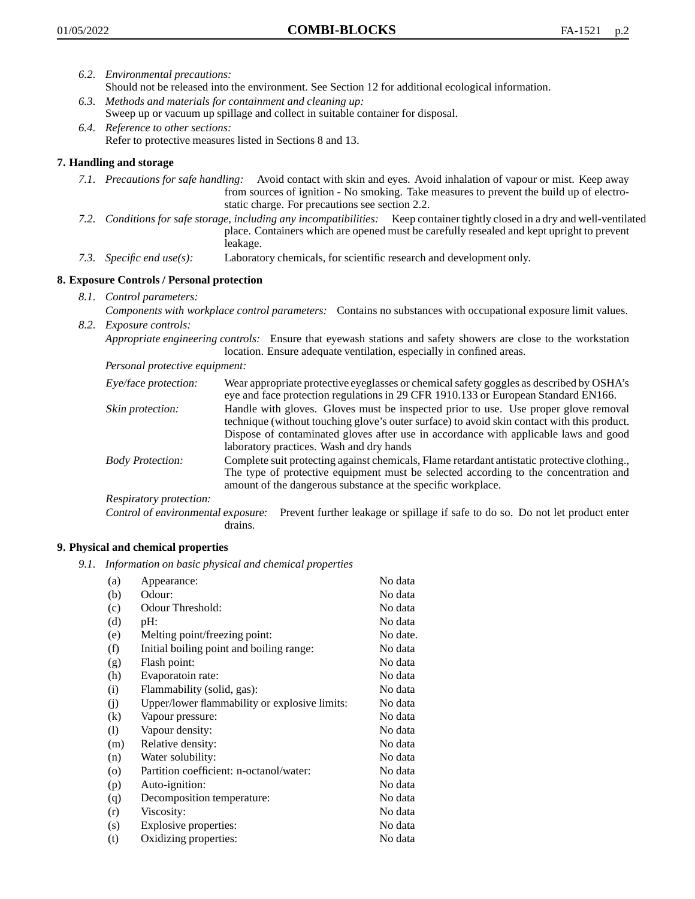- *6.2. Environmental precautions:* Should not be released into the environment. See Section 12 for additional ecological information.
- *6.3. Methods and materials for containment and cleaning up:* Sweep up or vacuum up spillage and collect in suitable container for disposal.
- *6.4. Reference to other sections:* Refer to protective measures listed in Sections 8 and 13.

# **7. Handling and storage**

- *7.1. Precautions for safe handling:* Avoid contact with skin and eyes. Avoid inhalation of vapour or mist. Keep away from sources of ignition - No smoking. Take measures to prevent the build up of electrostatic charge. For precautions see section 2.2.
- *7.2. Conditions for safe storage, including any incompatibilities:* Keep container tightly closed in a dry and well-ventilated place. Containers which are opened must be carefully resealed and kept upright to prevent leakage.
- *7.3. Specific end use(s):* Laboratory chemicals, for scientific research and development only.

# **8. Exposure Controls / Personal protection**

- *8.1. Control parameters:*
- *Components with workplace control parameters:* Contains no substances with occupational exposure limit values. *8.2. Exposure controls:*

*Appropriate engineering controls:* Ensure that eyewash stations and safety showers are close to the workstation location. Ensure adequate ventilation, especially in confined areas.

*Personal protective equipment:*

| Eye/face protection:    | Wear appropriate protective eyeglasses or chemical safety goggles as described by OSHA's<br>eye and face protection regulations in 29 CFR 1910.133 or European Standard EN166.                                                                                                                                         |
|-------------------------|------------------------------------------------------------------------------------------------------------------------------------------------------------------------------------------------------------------------------------------------------------------------------------------------------------------------|
| Skin protection:        | Handle with gloves. Gloves must be inspected prior to use. Use proper glove removal<br>technique (without touching glove's outer surface) to avoid skin contact with this product.<br>Dispose of contaminated gloves after use in accordance with applicable laws and good<br>laboratory practices. Wash and dry hands |
| <b>Body Protection:</b> | Complete suit protecting against chemicals, Flame retardant antistatic protective clothing.,<br>The type of protective equipment must be selected according to the concentration and<br>amount of the dangerous substance at the specific workplace.                                                                   |
| Respiratory protection: |                                                                                                                                                                                                                                                                                                                        |

Control of environmental exposure: Prevent further leakage or spillage if safe to do so. Do not let product enter drains.

#### **9. Physical and chemical properties**

*9.1. Information on basic physical and chemical properties*

| (a)               | Appearance:                                   | No data  |
|-------------------|-----------------------------------------------|----------|
| (b)               | Odour:                                        | No data  |
| (c)               | Odour Threshold:                              | No data  |
| (d)               | pH:                                           | No data  |
| (e)               | Melting point/freezing point:                 | No date. |
| (f)               | Initial boiling point and boiling range:      | No data  |
| (g)               | Flash point:                                  | No data  |
| (h)               | Evaporatoin rate:                             | No data  |
| (i)               | Flammability (solid, gas):                    | No data  |
| (j)               | Upper/lower flammability or explosive limits: | No data  |
| $\left( k\right)$ | Vapour pressure:                              | No data  |
| (1)               | Vapour density:                               | No data  |
| (m)               | Relative density:                             | No data  |
| (n)               | Water solubility:                             | No data  |
| $\circ$           | Partition coefficient: n-octanol/water:       | No data  |
| (p)               | Auto-ignition:                                | No data  |
| (q)               | Decomposition temperature:                    | No data  |
| (r)               | Viscosity:                                    | No data  |
| (s)               | Explosive properties:                         | No data  |
| (t)               | Oxidizing properties:                         | No data  |